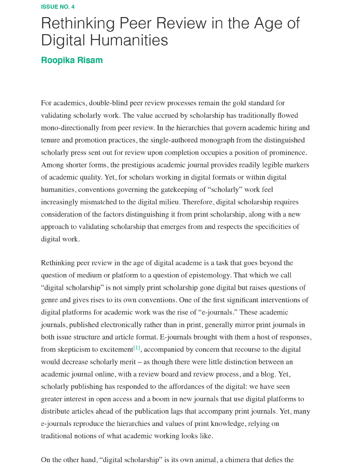## Rethinking Peer Review in the Age of **Digital Humanities**

## **Roopika Risam**

For academics, double-blind peer review processes remain the gold standard for validating scholarly work. The value accrued by scholarship has traditionally flowed mono-directionally from peer review. In the hierarchies that govern academic hiring and tenure and promotion practices, the single-authored monograph from the distinguished scholarly press sent out for review upon completion occupies a position of prominence. Among shorter forms, the prestigious academic journal provides readily legible markers of academic quality. Yet, for scholars working in digital formats or within digital humanities, conventions governing the gatekeeping of "scholarly" work feel increasingly mismatched to the digital milieu. Therefore, digital scholarship requires consideration of the factors distinguishing it from print scholarship, along with a new approach to validating scholarship that emerges from and respects the specificities of digital work.

Rethinking peer review in the age of digital academe is a task that goes beyond the question of medium or platform to a question of epistemology. That which we call "digital scholarship" is not simply print scholarship gone digital but raises questions of genre and gives rises to its own conventions. One of the first significant interventions of digital platforms for academic work was the rise of "e-journals." These academic journals, published electronically rather than in print, generally mirror print journals in both issue structure and article format. E-journals brought with them a host of responses, from skepticism to excitement<sup>[1]</sup>, accompanied by concern that recourse to the digital would decrease scholarly merit – as though there were little distinction between an academic journal online, with a review board and review process, and a blog. Yet, scholarly publishing has responded to the affordances of the digital: we have seen greater interest in open access and a boom in new journals that use digital platforms to distribute articles ahead of the publication lags that accompany print journals. Yet, many e-journals reproduce the hierarchies and values of print knowledge, relying on traditional notions of what academic working looks like.

On the other hand, "digital scholarship" is its own animal, a chimera that defies the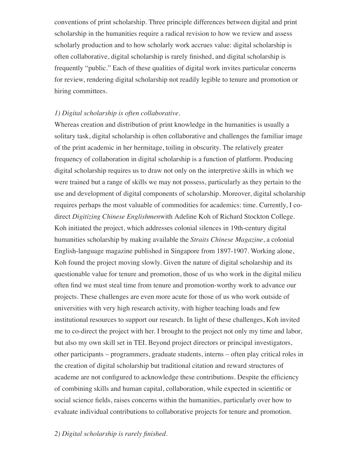conventions of print scholarship. Three principle differences between digital and print scholarship in the humanities require a radical revision to how we review and assess scholarly production and to how scholarly work accrues value: digital scholarship is often collaborative, digital scholarship is rarely finished, and digital scholarship is frequently "public." Each of these qualities of digital work invites particular concerns for review, rendering digital scholarship not readily legible to tenure and promotion or hiring committees.

## *1) Digital scholarship is often collaborative.*

Whereas creation and distribution of print knowledge in the humanities is usually a solitary task, digital scholarship is often collaborative and challenges the familiar image of the print academic in her hermitage, toiling in obscurity. The relatively greater frequency of collaboration in digital scholarship is a function of platform. Producing digital scholarship requires us to draw not only on the interpretive skills in which we were trained but a range of skills we may not possess, particularly as they pertain to the use and development of digital components of scholarship. Moreover, digital scholarship requires perhaps the most valuable of commodities for academics: time. Currently, I codirect *Digitizing Chinese Englishmen*with Adeline Koh of Richard Stockton College. Koh initiated the project, which addresses colonial silences in 19th-century digital humanities scholarship by making available the *Straits Chinese Magazine*, a colonial English-language magazine published in Singapore from 1897-1907. Working alone, Koh found the project moving slowly. Given the nature of digital scholarship and its questionable value for tenure and promotion, those of us who work in the digital milieu often find we must steal time from tenure and promotion-worthy work to advance our projects. These challenges are even more acute for those of us who work outside of universities with very high research activity, with higher teaching loads and few institutional resources to support our research. In light of these challenges, Koh invited me to co-direct the project with her. I brought to the project not only my time and labor, but also my own skill set in TEI. Beyond project directors or principal investigators, other participants – programmers, graduate students, interns – often play critical roles in the creation of digital scholarship but traditional citation and reward structures of academe are not configured to acknowledge these contributions. Despite the efficiency of combining skills and human capital, collaboration, while expected in scientific or social science fields, raises concerns within the humanities, particularly over how to evaluate individual contributions to collaborative projects for tenure and promotion.

*2) Digital scholarship is rarely finished.*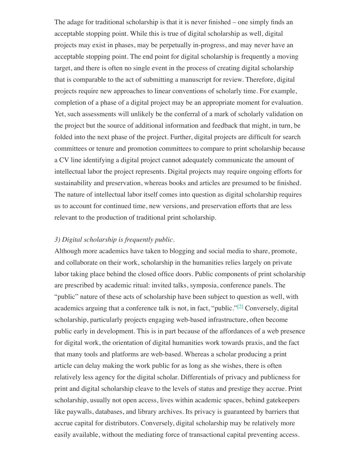The adage for traditional scholarship is that it is never finished – one simply finds an acceptable stopping point. While this is true of digital scholarship as well, digital projects may exist in phases, may be perpetually in-progress, and may never have an acceptable stopping point. The end point for digital scholarship is frequently a moving target, and there is often no single event in the process of creating digital scholarship that is comparable to the act of submitting a manuscript for review. Therefore, digital projects require new approaches to linear conventions of scholarly time. For example, completion of a phase of a digital project may be an appropriate moment for evaluation. Yet, such assessments will unlikely be the conferral of a mark of scholarly validation on the project but the source of additional information and feedback that might, in turn, be folded into the next phase of the project. Further, digital projects are difficult for search committees or tenure and promotion committees to compare to print scholarship because a CV line identifying a digital project cannot adequately communicate the amount of intellectual labor the project represents. Digital projects may require ongoing efforts for sustainability and preservation, whereas books and articles are presumed to be finished. The nature of intellectual labor itself comes into question as digital scholarship requires us to account for continued time, new versions, and preservation efforts that are less relevant to the production of traditional print scholarship.

## *3) Digital scholarship is frequently public.*

Although more academics have taken to blogging and social media to share, promote, and collaborate on their work, scholarship in the humanities relies largely on private labor taking place behind the closed office doors. Public components of print scholarship are prescribed by academic ritual: invited talks, symposia, conference panels. The "public" nature of these acts of scholarship have been subject to question as well, with academics arguing that a conference talk is not, in fact, "public."<sup>[2]</sup> Conversely, digital scholarship, particularly projects engaging web-based infrastructure, often become public early in development. This is in part because of the affordances of a web presence for digital work, the orientation of digital humanities work towards praxis, and the fact that many tools and platforms are web-based. Whereas a scholar producing a print article can delay making the work public for as long as she wishes, there is often relatively less agency for the digital scholar. Differentials of privacy and publicness for print and digital scholarship cleave to the levels of status and prestige they accrue. Print scholarship, usually not open access, lives within academic spaces, behind gatekeepers like paywalls, databases, and library archives. Its privacy is guaranteed by barriers that accrue capital for distributors. Conversely, digital scholarship may be relatively more easily available, without the mediating force of transactional capital preventing access.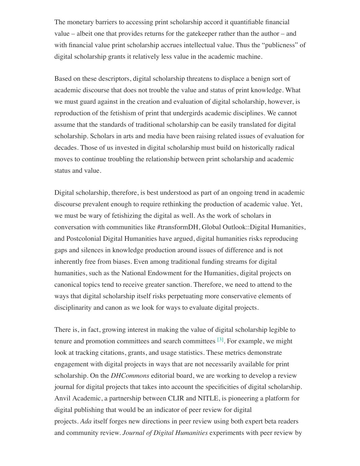The monetary barriers to accessing print scholarship accord it quantifiable financial value – albeit one that provides returns for the gatekeeper rather than the author – and with financial value print scholarship accrues intellectual value. Thus the "publicness" of digital scholarship grants it relatively less value in the academic machine.

Based on these descriptors, digital scholarship threatens to displace a benign sort of academic discourse that does not trouble the value and status of print knowledge. What we must guard against in the creation and evaluation of digital scholarship, however, is reproduction of the fetishism of print that undergirds academic disciplines. We cannot assume that the standards of traditional scholarship can be easily translated for digital scholarship. Scholars in arts and media have been raising related issues of evaluation for decades. Those of us invested in digital scholarship must build on historically radical moves to continue troubling the relationship between print scholarship and academic status and value.

Digital scholarship, therefore, is best understood as part of an ongoing trend in academic discourse prevalent enough to require rethinking the production of academic value. Yet, we must be wary of fetishizing the digital as well. As the work of scholars in conversation with communities like #transformDH, Global Outlook::Digital Humanities, and Postcolonial Digital Humanities have argued, digital humanities risks reproducing gaps and silences in knowledge production around issues of difference and is not inherently free from biases. Even among traditional funding streams for digital humanities, such as the National Endowment for the Humanities, digital projects on canonical topics tend to receive greater sanction. Therefore, we need to attend to the ways that digital scholarship itself risks perpetuating more conservative elements of disciplinarity and canon as we look for ways to evaluate digital projects.

There is, in fact, growing interest in making the value of digital scholarship legible to tenure and promotion committees and search committees  $[3]$ . For example, we might look at tracking citations, grants, and usage statistics. These metrics demonstrate engagement with digital projects in ways that are not necessarily available for print scholarship. On the *DHCommons* editorial board, we are working to develop a review journal for digital projects that takes into account the specificities of digital scholarship. Anvil Academic, a partnership between CLIR and NITLE, is pioneering a platform for digital publishing that would be an indicator of peer review for digital projects. *Ada* itself forges new directions in peer review using both expert beta readers and community review. *Journal of Digital Humanities* experiments with peer review by